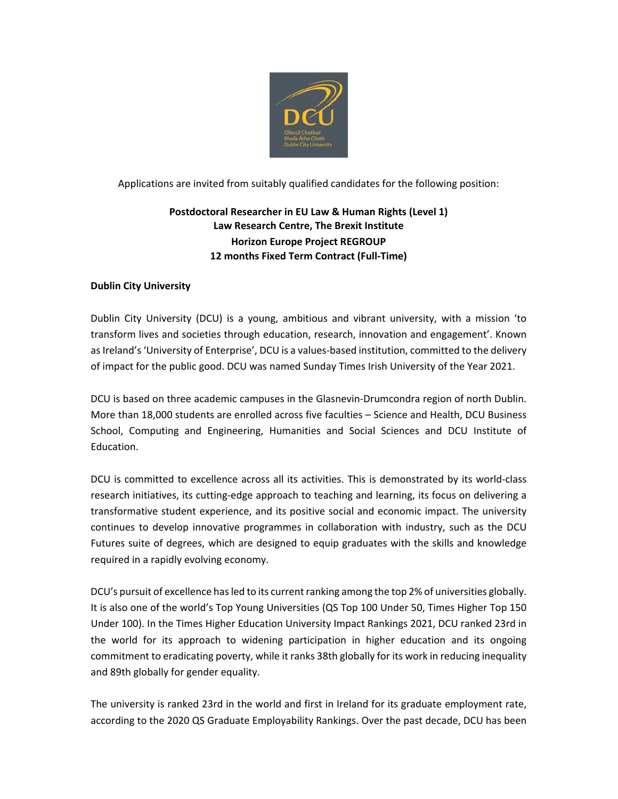

Applications are invited from suitably qualified candidates for the following position:

# **Postdoctoral Researcher in EU Law & Human Rights (Level 1) Law Research Centre, The Brexit Institute Horizon Europe Project REGROUP 12 months Fixed Term Contract (Full-Time)**

## **Dublin City University**

Dublin City University (DCU) is a young, ambitious and vibrant university, with a mission 'to transform lives and societies through education, research, innovation and engagement'. Known as Ireland's 'University of Enterprise', DCU is a values-based institution, committed to the delivery of impact for the public good. DCU was named Sunday Times Irish University of the Year 2021.

DCU is based on three academic campuses in the Glasnevin-Drumcondra region of north Dublin. More than 18,000 students are enrolled across five faculties – Science and Health, DCU Business School, Computing and Engineering, Humanities and Social Sciences and DCU Institute of Education.

DCU is committed to excellence across all its activities. This is demonstrated by its world-class research initiatives, its cutting-edge approach to teaching and learning, its focus on delivering a transformative student experience, and its positive social and economic impact. The university continues to develop innovative programmes in collaboration with industry, such as the DCU Futures suite of degrees, which are designed to equip graduates with the skills and knowledge required in a rapidly evolving economy.

DCU's pursuit of excellence has led to its current ranking among the top 2% of universities globally. It is also one of the world's Top Young Universities (QS Top 100 Under 50, Times Higher Top 150 Under 100). In the Times Higher Education University Impact Rankings 2021, DCU ranked 23rd in the world for its approach to widening participation in higher education and its ongoing commitment to eradicating poverty, while it ranks 38th globally for its work in reducing inequality and 89th globally for gender equality.

The university is ranked 23rd in the world and first in Ireland for its graduate employment rate, according to the 2020 QS Graduate Employability Rankings. Over the past decade, DCU has been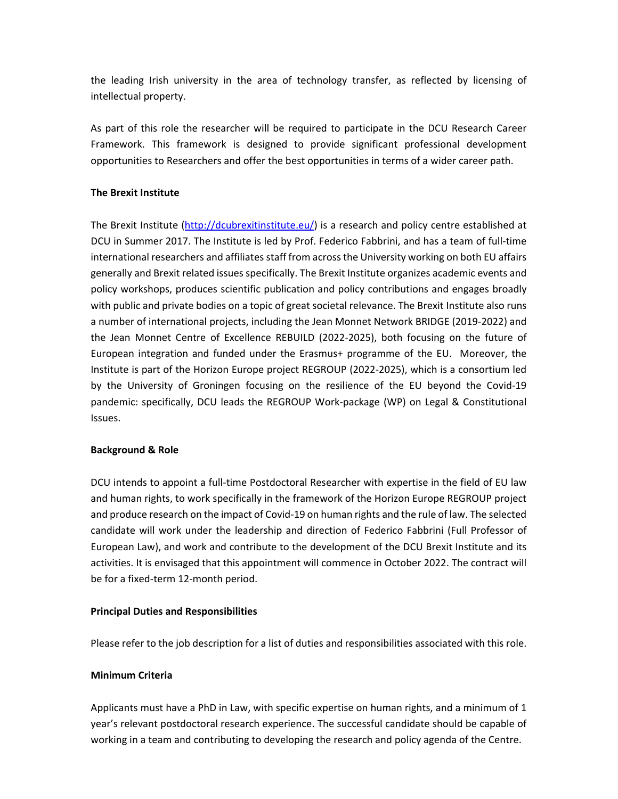the leading Irish university in the area of technology transfer, as reflected by licensing of intellectual property.

As part of this role the researcher will be required to participate in the DCU Research Career Framework. This framework is designed to provide significant professional development opportunities to Researchers and offer the best opportunities in terms of a wider career path.

#### **The Brexit Institute**

The Brexit Institute [\(http://dcubrexitinstitute.eu/\)](http://dcubrexitinstitute.eu/) is a research and policy centre established at DCU in Summer 2017. The Institute is led by Prof. Federico Fabbrini, and has a team of full-time international researchers and affiliates staff from across the University working on both EU affairs generally and Brexit related issues specifically. The Brexit Institute organizes academic events and policy workshops, produces scientific publication and policy contributions and engages broadly with public and private bodies on a topic of great societal relevance. The Brexit Institute also runs a number of international projects, including the Jean Monnet Network BRIDGE (2019-2022) and the Jean Monnet Centre of Excellence REBUILD (2022-2025), both focusing on the future of European integration and funded under the Erasmus+ programme of the EU. Moreover, the Institute is part of the Horizon Europe project REGROUP (2022-2025), which is a consortium led by the University of Groningen focusing on the resilience of the EU beyond the Covid-19 pandemic: specifically, DCU leads the REGROUP Work-package (WP) on Legal & Constitutional Issues.

#### **Background & Role**

DCU intends to appoint a full-time Postdoctoral Researcher with expertise in the field of EU law and human rights, to work specifically in the framework of the Horizon Europe REGROUP project and produce research on the impact of Covid-19 on human rights and the rule of law. The selected candidate will work under the leadership and direction of Federico Fabbrini (Full Professor of European Law), and work and contribute to the development of the DCU Brexit Institute and its activities. It is envisaged that this appointment will commence in October 2022. The contract will be for a fixed-term 12-month period.

## **Principal Duties and Responsibilities**

Please refer to the job description for a list of duties and responsibilities associated with this role.

## **Minimum Criteria**

Applicants must have a PhD in Law, with specific expertise on human rights, and a minimum of 1 year's relevant postdoctoral research experience. The successful candidate should be capable of working in a team and contributing to developing the research and policy agenda of the Centre.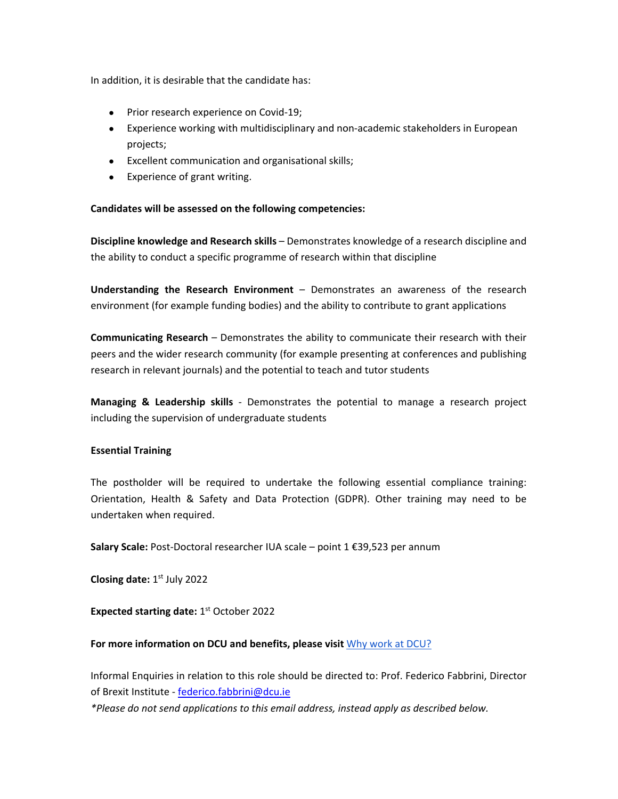In addition, it is desirable that the candidate has:

- Prior research experience on Covid-19;
- Experience working with multidisciplinary and non-academic stakeholders in European projects;
- Excellent communication and organisational skills;
- Experience of grant writing.

## **Candidates will be assessed on the following competencies:**

**Discipline knowledge and Research skills** – Demonstrates knowledge of a research discipline and the ability to conduct a specific programme of research within that discipline

**Understanding the Research Environment** – Demonstrates an awareness of the research environment (for example funding bodies) and the ability to contribute to grant applications

**Communicating Research** – Demonstrates the ability to communicate their research with their peers and the wider research community (for example presenting at conferences and publishing research in relevant journals) and the potential to teach and tutor students

**Managing & Leadership skills** - Demonstrates the potential to manage a research project including the supervision of undergraduate students

#### **Essential Training**

The postholder will be required to undertake the following essential compliance training: Orientation, Health & Safety and Data Protection (GDPR). Other training may need to be undertaken when required.

**Salary Scale:** Post-Doctoral researcher IUA scale – point 1 €39,523 per annum

**Closing date:** 1<sup>st</sup> July 2022

**Expected starting date: 1st October 2022** 

#### **For more information on DCU and benefits, please visit** [Why work at DCU?](https://www.dcu.ie/hr/why-work-dcu)

Informal Enquiries in relation to this role should be directed to: Prof. Federico Fabbrini, Director of Brexit Institute - [federico.fabbrini@dcu.ie](mailto:federico.fabbrini@dcu.ie)

*\*Please do not send applications to this email address, instead apply as described below.*